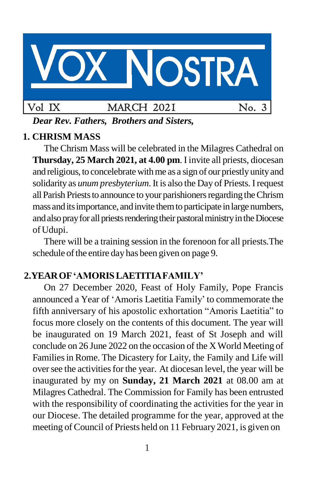

*Dear Rev. Fathers, Brothers and Sisters,*

# **1. CHRISM MASS**

The Chrism Mass will be celebrated in the Milagres Cathedral on **Thursday, 25 March 2021, at 4.00 pm**. I invite all priests, diocesan and religious, to concelebrate with me as a sign of our priestly unity and solidarity as *unum presbyterium*. It is also the Day of Priests. Irequest all Parish Priests to announce to your parishioners regarding the Chrism mass and its importance, and invite them to participate in large numbers, and also pray for all priests rendering their pastoral ministry in the Diocese ofUdupi.

There will be a training session in the forenoon for all priests.The schedule of the entire day has been given on page 9.

# **2.YEAROF'AMORISLAETITIAFAMILY'**

On 27 December 2020, Feast of Holy Family, Pope Francis announced a Year of 'Amoris Laetitia Family' to commemorate the fifth anniversary of his apostolic exhortation "Amoris Laetitia" to focus more closely on the contents of this document. The year will be inaugurated on 19 March 2021, feast of St Joseph and will conclude on 26 June 2022 on the occasion of the X World Meeting of Families in Rome. The Dicastery for Laity, the Family and Life will over see the activities for the year. At diocesan level, the year will be inaugurated by my on **Sunday, 21 March 2021** at 08.00 am at Milagres Cathedral. The Commission for Family has been entrusted with the responsibility of coordinating the activities for the year in our Diocese. The detailed programme for the year, approved at the meeting of Council of Priests held on 11 February 2021, is given on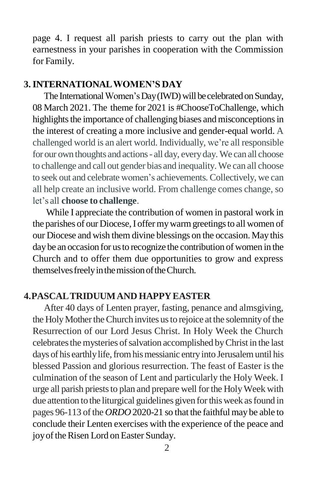page 4. I request all parish priests to carry out the plan with earnestness in your parishes in cooperation with the Commission for Family.

### **3.INTERNATIONALWOMEN'S DAY**

The International Women's Day (IWD) will be celebrated on Sunday, 08 March 2021. The theme for 2021 is #ChooseToChallenge, which highlights the importance of challenging biases and misconceptions in the interest of creating a more inclusive and gender-equal world. A challenged world is an alert world. Individually, we're all responsible for our own thoughts and actions- all day, everyday.We can all choose to challenge and call out gender bias and inequality.We can all choose to seek out and celebrate women's achievements. Collectively, we can all help create an inclusive world. From challenge comes change, so let's all **choose to challenge**.

While I appreciate the contribution of women in pastoral work in the parishes of our Diocese, I offer my warm greetings to all women of our Diocese and wish them divine blessings on the occasion. May this day be an occasion for us to recognize the contribution of women in the Church and to offer them due opportunities to grow and express themselves freely in the mission of the Church.

### **4.PASCALTRIDUUMAND HAPPYEASTER**

After 40 days of Lenten prayer, fasting, penance and almsgiving, the Holy Mother the Church invites us to rejoice at the solemnity of the Resurrection of our Lord Jesus Christ. In Holy Week the Church celebrates the mysteries of salvation accomplished by Christ in the last days of his earthly life, from his messianic entry into Jerusalem until his blessed Passion and glorious resurrection. The feast of Easter is the culmination of the season of Lent and particularly the Holy Week. I urge all parish priests to plan and prepare well for the Holy Week with due attention to the liturgical guidelines given forthisweek asfound in pages 96-113 of the *ORDO* 2020-21 so that the faithful may be able to conclude their Lenten exercises with the experience of the peace and joy of the Risen Lord on Easter Sunday.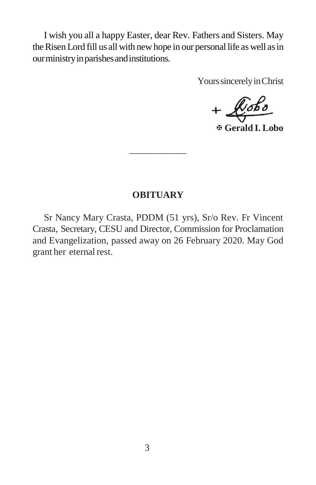I wish you all a happy Easter, dear Rev. Fathers and Sisters. May the Risen Lord fill us all with new hope in our personal life as well as in ourministryinparishesandinstitutions.

Yours sincerely in Christ

 $+$  $k$ obo

**Gerald I. Lobo**

#### **OBITUARY**

\_\_\_\_\_\_\_\_\_\_\_\_

Sr Nancy Mary Crasta, PDDM (51 yrs), Sr/o Rev. Fr Vincent Crasta, Secretary, CESU and Director, Commission for Proclamation and Evangelization, passed away on 26 February 2020. May God grant her eternal rest.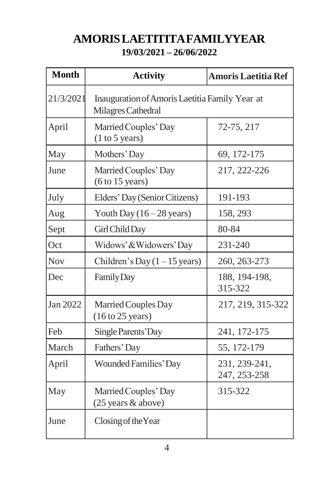# **AMORISLAETITITAFAMILYYEAR 19/03/2021 – 26/06/2022**

| <b>Month</b> | <b>Activity</b>                                                      | <b>Amoris Laetitia Ref</b>    |
|--------------|----------------------------------------------------------------------|-------------------------------|
| 21/3/2021    | Inauguration of Amoris Laetitia Family Year at<br>Milagres Cathedral |                               |
| April        | Married Couples' Day<br>(1 to 5 years)                               | 72-75, 217                    |
| May          | Mothers' Day                                                         | 69, 172-175                   |
| June         | Married Couples' Day<br>(6 to 15 years)                              | 217, 222-226                  |
| July         | Elders' Day (Senior Citizens)                                        | 191-193                       |
| Aug          | Youth Day $(16-28 \text{ years})$                                    | 158, 293                      |
| Sept         | Girl Child Day                                                       | 80-84                         |
| Oct          | Widows' & Widowers' Day                                              | 231-240                       |
| <b>Nov</b>   | Children's Day $(1 – 15 \text{ years})$                              | 260, 263-273                  |
| Dec          | <b>Family Day</b>                                                    | 188, 194-198,<br>315-322      |
| Jan 2022     | Married Couples Day<br>$(16 \text{ to } 25 \text{ years})$           | 217, 219, 315-322             |
| Feb          | Single Parents' Day                                                  | 241, 172-175                  |
| March        | Fathers' Day                                                         | 55, 172-179                   |
| April        | <b>Wounded Families' Day</b>                                         | 231, 239-241,<br>247, 253-258 |
| May          | Married Couples' Day<br>(25 years & above)                           | 315-322                       |
| June         | Closing of the Year                                                  |                               |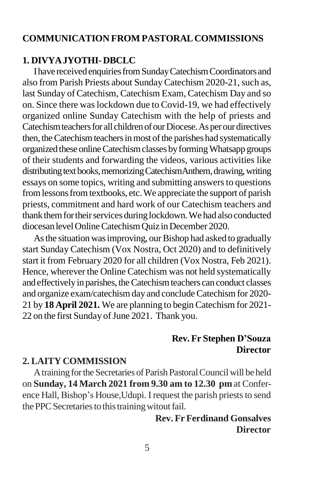### **COMMUNICATION FROM PASTORALCOMMISSIONS**

#### **1. DIVYAJYOTHI- DBCLC**

Ihave receivedenquiriesfromSundayCatechismCoordinators and also from Parish Priests about Sunday Catechism 2020-21, such as, last Sunday of Catechism, Catechism Exam, Catechism Day and so on. Since there was lockdown due to Covid-19, we had effectively organized online Sunday Catechism with the help of priests and Catechism teachers for all children of our Diocese. As per our directives then, the Catechism teachers in most of the parishes had systematically organized these online Catechism classes by forming Whatsapp groups of their students and forwarding the videos, various activities like distributing text books, memorizing CatechismAnthem, drawing, writing essays on some topics, writing and submitting answers to questions from lessons from textbooks, etc. We appreciate the support of parish priests, commitment and hard work of our Catechism teachers and thank them for their services during lockdown. We had also conducted diocesanlevelOnlineCatechismQuiz inDecember 2020.

As the situation was improving, our Bishop had asked to gradually start Sunday Catechism (Vox Nostra, Oct 2020) and to definitively start it from February 2020 for all children (Vox Nostra, Feb 2021). Hence, wherever the Online Catechism was not held systematically and effectively in parishes, the Catechism teachers can conduct classes and organize exam/catechism day and concludeCatechism for 2020- 21 by **18 April 2021.** We are planning to begin Catechism for 2021- 22 on the first Sunday of June 2021. Thank you.

### **Rev. Fr Stephen D'Souza Director**

### **2. LAITY COMMISSION**

A training for the Secretaries of Parish Pastoral Council will be held on **Sunday, 14 March 2021 from 9.30 am to 12.30 pm** at Conference Hall, Bishop's House, Udupi. I request the parish priests to send the PPC Secretaries to this training witout fail.

> **Rev. Fr Ferdinand Gonsalves Director**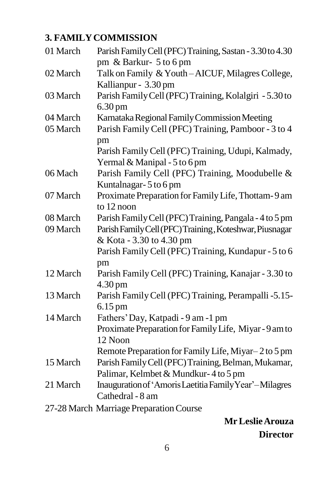# **3. FAMILYCOMMISSION**

| 01 March | Parish Family Cell (PFC) Training, Sastan - 3.30 to 4.30 |  |
|----------|----------------------------------------------------------|--|
|          | pm & Barkur- 5 to 6 pm                                   |  |
| 02 March | Talk on Family & Youth-AICUF, Milagres College,          |  |
|          | Kallianpur - 3.30 pm                                     |  |
| 03 March | Parish Family Cell (PFC) Training, Kolalgiri - 5.30 to   |  |
|          | $6.30 \,\mathrm{pm}$                                     |  |
| 04 March | Karnataka Regional Family Commission Meeting             |  |
| 05 March | Parish Family Cell (PFC) Training, Pamboor - 3 to 4      |  |
|          | pm                                                       |  |
|          | Parish Family Cell (PFC) Training, Udupi, Kalmady,       |  |
|          | Yermal & Manipal - 5 to 6 pm                             |  |
| 06 Mach  | Parish Family Cell (PFC) Training, Moodubelle &          |  |
|          | Kuntalnagar-5 to 6 pm                                    |  |
| 07 March | Proximate Preparation for Family Life, Thottam-9 am      |  |
|          | to 12 noon                                               |  |
| 08 March | Parish Family Cell (PFC) Training, Pangala - 4 to 5 pm   |  |
| 09 March | Parish Family Cell (PFC) Training, Koteshwar, Piusnagar  |  |
|          | & Kota - 3.30 to 4.30 pm                                 |  |
|          | Parish Family Cell (PFC) Training, Kundapur - 5 to 6     |  |
|          | pm                                                       |  |
| 12 March | Parish Family Cell (PFC) Training, Kanajar - 3.30 to     |  |
|          | $4.30 \,\mathrm{pm}$                                     |  |
| 13 March | Parish Family Cell (PFC) Training, Perampalli -5.15-     |  |
|          | $6.15 \,\mathrm{pm}$                                     |  |
| 14 March | Fathers' Day, Katpadi - 9 am -1 pm                       |  |
|          | Proximate Preparation for Family Life, Miyar - 9 am to   |  |
|          | 12 Noon                                                  |  |
|          | Remote Preparation for Family Life, Miyar-2 to 5 pm      |  |
| 15 March | Parish Family Cell (PFC) Training, Belman, Mukamar,      |  |
|          | Palimar, Kelmbet & Mundkur-4 to 5 pm                     |  |
| 21 March | Inauguration of 'Amoris Laetitia Family Year'-Milagres   |  |
|          | Cathedral - 8 am                                         |  |
|          | 27-28 March Marriage Preparation Course                  |  |

# **MrLeslieArouza Director**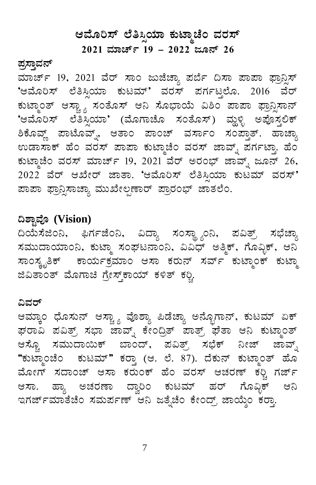# ಆಮೊರಿಸ್ ಲೆತಿಸ್ಸಿಯಾ ಕುಟ್ಮಾಚೆಂ ವರಸ್

 $2021$  ಮಾರ್ಚ್ 19 - 2022 ಜೂನ್ 26

### <u>ಪ್ರಸ್</u>ಥಾವನ್

ಮಾರ್ಚ್ 19, 2021 ವೆರ್ ಸಾಂ ಜುಜೆಚ್ಯಾ ಪರ್ಬೆ ದಿಸಾ ಪಾಪಾ ಫ್ರಾನ್ಸಿಸ್ 'ಆಮೊರಿಸ್ ಲೆತಿಸ್ಸಿಯಾ ಕುಟಮ್' ವರಸ್ ಪರ್ಗಟ್ತಲೊ. 2016 ವೆರ್ ಕುಟ್ಮಾಂತ್ ಆಸ್ಟ್ಯಾ ಸಂತೊಸ್ ಆನಿ ಸೊಭಾಯೆ ವಿಶಿಂ ಪಾಪಾ ಫ್ರಾನ್ಸಿಸಾನ್ 'ಆಮೊರಿಸ್ ಲೆತಿಸ್ಸಿಯಾ' (ಮೊಗಾಚೊ ಸಂತೊಸ್) ಮ್ದಳಿ ಅಪೊಸ್ಗಲಿಕ್ <u>ಶಿಕೊವ್ಣ್</u> ಪಾಟೊವ್ನ್, ಆತಾಂ ಪಾಂಚ್ ವರ್ಸಾಂ ಸಂಪ್ತಾತ್. ಹಾಚ್ಗಾ ಉಡಾಸಾಕ್ ಹೆಂ ವರಸ್ ಪಾಪಾ ಕುಟ್ಮಾಚೆಂ ವರಸ್ ಜಾವ್ನ್ ಪರ್ಗಟ್ತಾ. ಹೆಂ ಕುಟ್ಮಾಚೆಂ ವರಸ್ ಮಾರ್ಚ್ 19, 2021 ವೆರ್ ಅರಂಭ್ ಜಾವ್ನ್ ಜೂನ್ 26, .<br>2022 ವೆರ್ ಆಖೇರ್ ಜಾತಾ. 'ಆಮೊರಿಸ್ ಲೆತಿಸ್ಸಿಯಾ ಕುಟಮ್ ವರಸ್' ಹಾಪಾ ಫ್ರಾನ್ಸಿಸಾಚ್ಯಾ ಮುಖೇಲ್ಪಣಾರ್ ಪ್ರಾರಂಭ್ ಜಾತಲೆಂ.

# **¢±ÁÖªÉÇ (Vision)**

ದಿಯೆಸೆಜಿಂನಿ, ಫಿರ್ಗಜೆಂನಿ, ವಿದ್ಯಾ ಸಂಸ್ಥ್ಯಾಂನಿ, ಪವಿತ್ರ್ ಸಭೆಚ್ಯಾ ಸಮುದಾಯಾಂನಿ, ಕುಟ್ಮಾ ಸಂಘಟನಾಂನಿ, ವಿವಿಧ್ ಅತ್ಮಿಕ್, ಗೊವ್ಳಿಕ್, ಆನಿ ಸಾಂಸ್ಕೃತಿಕ್ ಕಾರ್ಯಕ್ರಮಾಂ ಆಸಾ ಕರುನ್ ಸರ್ವ್ ಕುಟ್ಮಾಂಕ್ ಕುಟ್ಮಾ  $\alpha$ ಬಿಪಿತಾಂತ್ ಮೊಗಾಚಿ ಗ್ರೇಸ್ತ್ ಕಾಯ್ ಕಳಿತ್ ಕನ್ನಿ.

#### ವಿವರ್

ಆಮ್ಕಾಂ ಧೊಸುನ್ ಆಸ್ಚ್ಯಾ ವೊಶ್ಯಾ ಪಿಡೆಚ್ಯಾ ಅನ್ಬೊಗಾನ್, ಕುಟಮ್ ಏಕ್ ಘರಾವಿ ಪವಿತ್ರ್ ಸಭಾ ಜಾವ್ನ್ ಕೇಂದ್ರಿತ್ ಪಾತ್ರ್ ಘತಾ ಆನಿ ಕುಟ್ಮಾಂತ್ ಆಸ್ಟೊ ಸಮುದಾಯಿಕ್ ಬಾಂದ್, ಪವಿತ್ರ್ ಸಭೆಕ್ ನೀಜ್ ಜಾವ್ನ್ "ಕುಟ್ಮಾಂಚೆಂ ಕುಟಮ್" ಕರ್ರಾ (ಆ. ಲೆ. 87). ದೆಕುನ್ ಕುಟ್ಮಾಂತ್ ಹೊ ಮೋಗ್ ಸದಾಂಚ್ ಆಸಾ ಕರುಂಕ್ ಹೆಂ ವರಸ್ ಆಚರಣ್ ಕಠ್ಚಿ ಗರ್ಜ್ ಆಸಾ. ಹ್ಯಾ ಅಚರಣಾ ದ್ವಾರಿಂ ಕುಟಮ್ ಹರ್ ಗೊವ್ಳಿಕ್ ಆನಿ ಇಗರ್ಜ್ ಮಾತೆಚೆಂ ಸಮರ್ಪಣ್ ಆನಿ ಜತ್ನೆಚೆಂ ಕೇಂದ್ರ್ ಜಾಯ್ಕೆಂ ಕರ್ರಾ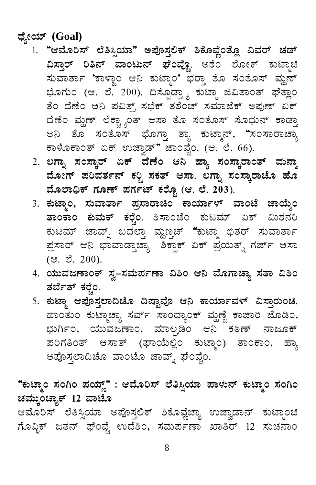ಧ್ಯೇಯ್ (Goal)

- 1. "ಆಮೊರಿಸ್ ಲೆತಿಸ್ಸಿಯಾ" ಅಪೊಸ್ತಲಿಕ್ ಶಿಕೊವ್ಣೆಂತ್ಲೊ ವಿವರ್ ಚಡ್ ವಿಸ್ತಾರ್ ರಿತಿನ್ ವಾಂಟುನ್ ಘೆಂವ್ಚೊ. ಅಶೆಂ ಲೋಕ್ ಕುಟ್ಮಾಚಿ ಸುವಾರ್ತಾ 'ಕಾಳ್ಜಾಂ ಆನಿ ಕುಟ್ಮಾಂ' ಭರ್ರಾ ತೊ ಸಂತೊಸ್ ಮ್ಹಣ್ ಭೊಗುಂ (ಆ. ಲೆ. 200). ದಿಸ್ಪೊಡ್ತ್ಯಾ ಕುಟ್ಮಾ ಜಿವಿತಾಂತ್ ಘೆತ್ಲಾಂ ತೆಂ ದೆಣೆಂ ಆನಿ ಪವಿತ್ರ್ ಸಭೆಕ್ ತಶೆಂಚ್ ಸಮಾಜೆಕ್ ಅಪುಣ್ ಏಕ್ ದೆಣೆಂ ಮ್ಹಣ್ ಲೆಕ್ಚ್ಯಾಂತ್ ಆಸಾ ತೊ ಸಂತೊಸ್ ಸೊಧುನ್ ಕಾಡ್ತಾ ಅನಿ ತೊ ಸಂತೊಸ್ ಭೊಗ್ತಾ ತ್ಯಾ ಕುಟ್ಮಾನ್, "ಸಂಸಾರಾಚ್ಯಾ ಕಾಳೊಕಾಂತ್ ಏಕ್ ಉಜ್ವಾಡ್" ಜಾಂವ್ವೆಂ. (ಆ. ಲೆ. 66).
	- 2. ಲಗ್ನಾ ಸಂಸ್ಕಾರ್ ಏಕ್ ದೆಣೆಂ ಆನಿ ಹ್ಯಾ ಸಂಸ್ಕಾರಾಂತ್ ಮನ್ಶಾ ಮೋಗ್ ಪರಿವರ್ತನ್ ಕರ್ರಿ ಸಕತ್ ಆಸಾ. ಲಗ್ನಾ ಸಂಸ್ಕಾರಾಚೊ ಹೊ ಮೊಲಾಧಿಕ್ ಗೂಣ್ ಪರ್ಗಟ್ ಕರ್ರ್ಚೋ (ಆ. ಲೆ. 203).
	- 3. ಕುಟ್ಮಾಂ, ಸುವಾರ್ತಾ ಪ್ರಸಾರಾಚಿಂ ಕಾರ್ಯಾಳ್ ವಾಂಟೆ ಜಾಯ್ಶೆಂ ತಾಂಕಾಂ ಕುಮಕ್ ಕರ್ರ್ಚೆ ಶಿಸಾಂಚೆಂ ಕುಟಮ್ ಏಕ್ ಮಿಶನರಿ ಕುಟಮ್ ಜಾವ್ನ್ ಬದಲ್ತಾ ವ್ಹುಣ್ತಚ್ "ಕುಟ್ಮಾ ಭಿತರ್ ಸುವಾರ್ತಾ ಪ್ರಸಾರ್ ಆನಿ ಭಾವಾಡ್ತಾಚ್ಯಾ ಶಿಕ್ಪಾಕ್ ಏಕ್ ಪ್ರಯತ್ನ್ ಗರ್ಜ್ ಆಸಾ  $($ . c $\dot{S}$ . 200).
	- 4. ಯುವಜಣಾಂಕ್ ಸ್ವ–ಸಮರ್ಪಣಾ ವಿಶಿಂ ಆನಿ ಮೊಗಾಚ್ಯಾ ಸತಾ ವಿಶಿಂ ತರ್ಬೆತ್ ಕರ್ರ್ನೆಂ.
- 5. ಕುಟ್ಮಾ ಆಪೊಸ್ತಲಾದಿಚೊ ದಿಷ್ಟಾವೊ ಆನಿ ಕಾರ್ಯಾವಳ್ ವಿಸ್ತಾರುಂಚಿ. ಹಾಂತುಂ ಕುಟ್ಮಾಚ್ಯಾ ಸರ್ವ್ ಸಾಂದ್ಯಾಂಕ್ ಮ್ಹಣ್ಣೆ ಕಾಜಾರಿ ಜೊಡಿಂ, ಭುರ್ಗಿಂ, ಯುವಜಣಾಂ, ಮಾಲ್ಫಡಿಂ ಆನಿ ಕಠಿಣ್ ನಾಜೂಕ್ ಪರಿಗತಿಂತ್ ಆಸಾತ್ (ಘಾಯೆಲ್ಲಿಂ ಕುಟ್ಮಾಂ) ತಾಂಕಾಂ, ಹ್ಯಾ ಆಪೊಸ್ತಲಾದಿಚೊ ವಾಂಟೊ ಜಾವ್ನ್ ಘೆಂವ್ಕೆಂ.

"ಕುಟ್ಮಾಂ ಸಂಗಿಂ ಪಯ್ಣ್" : ಆಮೊರಿಸ್ ಲೆತಿಸ್ಸಿಯಾ ಪಾಳುನ್ ಕುಟ್ಮಾಂ ಸಂಗಿಂ ಚಮ್ಕುಂಚ್ಯಾಕ್ 12 ವಾಟೊ

ಆಮೊರಿಸ್ ಲೆತಿಸ್ಸಿಯಾ ಅಪೊಸ್ತಲಿಕ್ ಶಿಕೊವ್ಣೆಚ್ಯಾ ಉಜ್ವಾಡಾನ್ ಕುಟ್ಮಾಂಚಿ ಗೊವಿಕ್ ಜತನ್ ಫೆಂಪ್ಚೆ ಉದೆಶಿಂ, ಸಮರ್ಪಣಾ ಖಾತಿರ್ 12 ಸುಚನಾಂ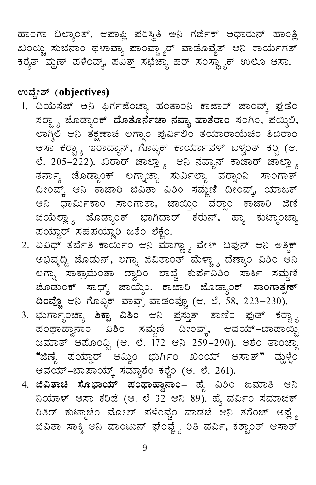ಹಾಂಗಾ ದಿಲ್ಯಾಂತ್. ಆಪಾಪ್ಲಿ ಪರಿಸ್ಥಿತಿ ಅನಿ ಗರ್ಜೆಕ್ ಆಧಾರುನ್ ಹಾಂತ್ಲಿ ಖಂಯ್ಚಿ ಸುಚನಾಂ ಥಳಾವ್ಯಾ ಪಾಂಪ್ಡ್ಯಾರ್ ವಾಡೊವೈತ್ ಆನಿ ಕಾರ್ಯಗತ್ ಕರೈತ್ ಮ್ಹಣ್ ಪಳೆಂವ್ಕ್, ಪವಿತ್ರ್ ಸಭೆಚ್ಯಾ ಹರ್ ಸಂಸ್ಥ್ಯಾಕ್ ಉಲೊ ಆಸಾ.

# ಉದ್ದೇಶ್ (objectives)

- 1. ದಿಯೆಸೆಜ್ ಆನಿ ಫಿರ್ಗಜೆಂಚ್ಯಾ ಹಂತಾಂನಿ ಕಾಜಾರ್ ಜಾಂವ್ಕ್ ಫುಡೆಂ ಸರ್<sub>ಚಿ 3</sub> ಜೊಡ್ಯಾಂಕ್ **ದೊತೊರ್ನೆಚಾ ನವ್ಯಾ ಹಾತೆರಾಂ** ಸಂಗಿಂ, ಪಯ್ಶಿಲಿ, ಲಾಗ್ತಿಲಿ ಆನಿ ತಕ್ಷಣಾಚಿ ಲಗ್ನಾಂ ಪುರ್ವಿಲಿಂ ತಯಾರಾಯೆಚಿಂ ಶಿಬಿರಾಂ ಆಸಾ ಕರ್ರ್ಚ್ಯಾ ಇರಾದ್ಯಾನ್, ಗೊವ್ಳಿಕ್ ಕಾರ್ಯಾವಳ್ ಬಳ್ವಂತ್ ಕರ್ಡ್ಚಿ (ಆ. ಲೆ. 205–222). ಖರಾರ್ ಜಾಲ್ಲ್ಯಾ ಆನಿ ನವ್ಯಾನ್ ಕಾಜಾರ್ ಜಾಲ್ಲ್ಯಾ ತರ್ನಾ್ಯ ಜೊಡ್ಯಾಂಕ್ ಲಗ್ನಾಚ್ಯಾ ಸುರ್ವಿಲ್ಯಾ ವರ್ರಾಂನಿ ಸಾಂಗಾತ್ ದೀಂವ್ಕ್ ಆನಿ ಕಾಜಾರಿ ಜಿವಿತಾ ವಿಶಿಂ ಸಮ್ಜಣಿ ದೀಂವ್ಕ್, ಯಾಜಕ್ ಆನಿ ಧಾರ್ಮಿಕಾಂ ಸಾಂಗಾತಾ, ಜಾಯ್ತಿಂ ವರ್ರಾಂ ಕಾಜಾರಿ ಜಿಣಿ ಜಿಯೆಲ್ಲಾ <sub>ಬ</sub> ಜೊಡ್ಯಾಂಕ್ ಭಾಗಿದಾರ್ ಕರುನ್, ಹ್ಯಾ ಕುಟ್ಮಾಂಚ್ಯಾ ಪಯ್ಣಾರ್ ಸಹಪಯ್ಣಾರಿ ಜಶೆಂ ಲೆಕ್ಚೆಂ.
- 2. ವಿವಿಧ್ ತರ್ಬೆತಿ ಕಾರ್ಯಿಂ ಆನಿ ಮಾಗ್ಣ್ಯಾ ವೇಳ್ ದಿವುನ್ ಆನಿ ಅತ್ಮಿಕ್ ಅಭಿವೃದ್ದಿ ಜೊಡುನ್, ಲಗ್ನಾ ಜಿವಿತಾಂತ್ ಮೆಳ್ಚ್ಯಾ ದೆಣ್ಯಾಂ ವಿಶಿಂ ಆನಿ ಲಗ್ನಾ ಸಾಕ್ರಾಮೆಂತಾ ದ್ವಾರಿಂ ಲಾಬ್ಚೆ ಕುರ್ಪೆವಿಶಿಂ ಸಾರ್ಕಿ ಸಮ್ಜಣಿ ಜೊಡುಂಕ್ ಸಾಧ್ಯ್ ಜಾಯ್ಶೆಂ, ಕಾಜಾರಿ ಜೊಡ್ಯಾಂಕ್ **ಸಾಂಗಾತ್<del>ವಣ</del>್ ದಿಂಪ್ಚೊ** ಆನಿ ಗೊವ್ಳಿಕ್ ವಾವ್ತ್ ವಾಡಂಪ್ಚೊ (ಆ. ಲೆ. 38, 223*–*230).
- 3. ಭುರ್ಗಾೃಂಚ್ಯಾ **ಶಿಕ್ಪಾ ವಿಶಿಂ** ಆನಿ ಪ್ರಸ್ತುತ್ ತಾಣಿಂ ಫುಡ್ ಕರ್ರ್ಚ್ಯಾ<br>ಪಂಥಾಹ್ವಾನಾಂ ವಿಶಿಂ ಸಮ್ಜಣಿ ದೀಂವ್ಕ್, ಆವಯ್–ಬಾಪಾಯ್ಚಿ ಜಮಾತ್ ಆಪೊಂಫ್ಟಿ (ಆ. ಲೆ. 172 ಆನಿ 259–290). ಅಶೆಂ ತಾಂಚ್ಯಾ "ಜಿಣೈ ಪಯ್ಣಾರ್ ಆಮ್ಚಿಂ ಭುರ್ಗಿಂ ಖಂಯ್ ಆಸಾತ್" ಮ್ಹಳ್ಳೆಂ ಆವಯ್-ಬಾಪಾಯ್ಕ್ ಸಮ್ಜಾಶೆಂ ಕರ್ರ್ಚೆಂ (ಆ. ಲೆ. 261).
- 4. **ಜಿವಿತಾಚಿ ಸೊಭಾಯ್ ಪಂಥಾಹ್ವಾನಾಂ** ಹ್ಯೆ ವಿಶಿಂ ಜಮಾತಿ ಆನಿ ನಿಯಾಳ್ ಆಸಾ ಕರಿಜೆ (ಆ. ಲೆ 32 ಆನಿ 89). ಹೈ ವರ್ವಿಂ ಸಮಾಜಿಕ್ ರಿತಿರ್ ಕುಟ್ಮಾಚೆಂ ಮೋಲ್ ಪಳೆಂಪ್ಚೆಂ ವಾಡಜೆ ಆನಿ ತಶೆಂಚ್ ಅಪ್ಲ್ಯೆ ಜಿವಿತಾ ಸಾಕ್ಶಿ ಆನಿ ವಾಂಟುನ್ ಘೆಂಪ್ಚ್ಯೆ ರಿತಿ ವರ್ವಿ, ಕಶ್ಟಾಂತ್ ಆಸಾತ್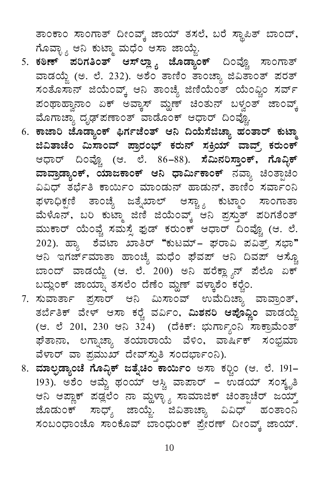ತಾಂಕಾಂ ಸಾಂಗಾತ್ ದೀಂವ್ಕ್ ಜಾಯ್ ತಸಲೆ, ಬರೆ ಸ್ಥಾಪಿತ್ ಬಾಂದ್, ಗೊವಾೖ್ಯ ಆನಿ ಕುಟ್ಮಾ ಮಧೆಂ ಆಸಾ ಜಾಯ್ಜೆ.

- 5. ಕಠಿಣ್ ಪರಿಗತಿಂತ್ ಆಸ್ಲ್ಯಾ ಜೊಡ್ಯಾಂಕ್ ದಿಂವ್ಚೊ ಸಾಂಗಾತ್ ವಾಡಯ್ಜೆ (ಅ. ಲೆ. 232). ಅಶೆಂ ತಾಣಿಂ ತಾಂಚ್ಯಾ ಜಿವಿತಾಂತ್ ಪರತ್ ಸಂತೊಸಾನ್ ಜಿಯೆಂವ್ಕ್ ಆನಿ ತಾಂಚ್ಯೆ ಜಿಣಿಯೆಂತ್ ಯೆಂವ್ಚಿಂ ಸರ್ವ್ ಪಂಥಾಹ್ವಾನಾಂ ಏಕ್ ಅವ್ಕಾಸ್ ಮ್ಹಣ್ ಚಿಂತುನ್ ಬಳ್ವಂತ್ ಜಾಂವ್ಕ್ ಮೊಗಾಚ್ಯಾ ದೃಢ್ಪಣಾಂತ್ ವಾಡೊಂಕ್ ಆಧಾರ್ ದಿಂವ್ಲೊ.
- 6. ಕಾಜಾರಿ ಜೊಡ್ಯಾಂಕ್ ಫಿರ್ಗಜೆಂತ್ ಆನಿ ದಿಯೆಸೆಜಿಚ್ಯಾ ಹಂತಾರ್ ಕುಟ್ಮಾ ಜಿವಿತಾಚೆಂ ಮಿಸಾಂವ್ ಪ್ರಾರಂಭ್ ಕರುನ್ ಸಕ್ರಿಯ್ ವಾವ್ರ್ ಕರುಂಕ್ ಆಧಾರ್ ದಿಂವ್ಚೊ (ಆ. ಲೆ. 86–88). <mark>ಸೆಮಿನರಿಸ್ತಾಂಕ್, ಗೊವ್ಬಿಕ್</mark> ವಾವ್ರಾಡ್ಯಾಂಕ್, ಯಾಜಕಾಂಕ್ ಆನಿ ಧಾರ್ಮಿಕಾಂಕ್ ನವ್ಯಾ ಚಿಂತ್ಪಾಚಿಂ ವಿವಿಧ್ ತರ್ಭೆತಿ ಕಾರ್ಯಿಂ ಮಾಂಡುನ್ ಹಾಡುನ್, ತಾಣಿಂ ಸರ್ವಾಂನಿ ಫಳಾಧಿಕ್ಷಣಿ ತಾಂಚ್ಯೆ ಜತ್ನೆಖಾಲ್ ಆಸ್ಟ್ಯಾ ಕುಟ್ಮಾಂ ಸಾಂಗಾತಾ ಮೆಳೊನ್, ಬರಿ ಕುಟ್ಮಾ ಜಿಣಿ ಜಿಯೆಂವ್ಕ್ ಆನಿ ಪ್ರಸ್ತುತ್ ಪರಿಗತೆಂತ್ ಮುಕಾರ್ ಯೆಂವ್ಚೆ ಸಮಸ್ಸೆ ಫುಡ್ ಕರುಂಕ್ ಆಧಾರ್ ದಿಂವ್ಚೊ (ಆ. ಲೆ. 202). ಹ್ಯಾ ಶೆವಟಾ ಖಾತಿರ್ "ಕುಟಮ್– ಘರಾವಿ ಪವಿತ್ರ್ ಸಭಾ" ಆನಿ ಇಗರ್ಜ್*ಮಾತಾ ಹಾಂ*ಚ್ಯೆ ಮಧೆಂ ಘೆವಪ್ ಆನಿ ದಿವಪ್ ಆಸ್ಟೊ ಬಾಂದ್ ವಾಡಯ್ಜೆ (ಆ. ಲೆ. 200) ಅನಿ ಹರೆಕ್ಲ್ಯಾನ್ ಪೆಲೊ ಏಕ್ ಬದ್ಲುಂಕ್ ಜಾಯ್ನಾ ತಸಲೆಂ ದೆಣೆಂ ಮ್ಹಣ್ ವಳ್ಕಾಶೆಂ ಕರ್ರೈಂ.
- 7. ಸುವಾರ್ತಾ ಪ್ರಸಾರ್ ಆನಿ ಮಿಸಾಂವ್ ಉಮೆದಿಚ್ಯಾ ವಾವ್ರಾಂತ್, ತರ್ಬೆತಿಕ್ ವೇಳ್ ಆಸಾ ಕರ್ರೆ ವರ್ವಿಂ, **ಮಿಶನರಿ ಆಪೊವ್ಲಿಂ** ವಾಡಯ್ಜೆ (ಆ. ಲೆ 201, 230 ಆನಿ 324) (ದೆಕಿಕ್: ಭುರ್ಗ್ಯಾಂನಿ ಸಾಕ್ರಾಮೆಂತ್ ಘೆತಾನಾ, ಲಗ್ನಾಚ್ಯಾ ತಯಾರಾಯೆ ವೆಳಿಂ, ವಾರ್ಷಿಕ್ ಸಂಭ್ರಮಾ ವೆಳಾರ್ ವಾ ಪ್ರಮುಖ್ ದೇವ್ಸ್ತುತಿ ಸಂದರ್ಭಾಂನಿ).
- 8. ಮಾಲ್ಫಡ್ಯಾಂಚೆ ಗೊವ್ಳಿಕ್ ಜತ್ನೆಚಿಂ ಕಾರ್ಯಿಂ ಅಸಾ ಕರ್ಣಿಂ (ಆ. ಲೆ. 191– 193). ಅಶೆಂ ಆಮ್ಚೆ ಥಂಯ್ ಆಸ್ಚಿ ವಾಪಾರ್ – ಉಡಯ್ ಸಂಸ್ಕೃತಿ ಆನಿ ಆಪ್ಲಾಕ್ ಪಡ್ಲಲೆಂ ನಾ ಮ್ದಳ್ಳ್ಯಾ ಸಾಮಾಜಿಕ್ ಚಿಂತ್ಪಾಚೆರ್ ಜಯ್ತ್ ಜೊಡುಂಕ್ ಸಾಧ್ಯ್ ಜಾಯ್ಜೆ. ಜಿವಿತಾಚ್ಯಾ ವಿವಿಧ್ ಹಂತಾಂನಿ ಸಂಬಂಧಾಂಚೊ ಸಾಂಕೊವ್ ಬಾಂಧುಂಕ್ ಪ್ರೇರಣ್ ದೀಂವ್ತ್ ಜಾಯ್.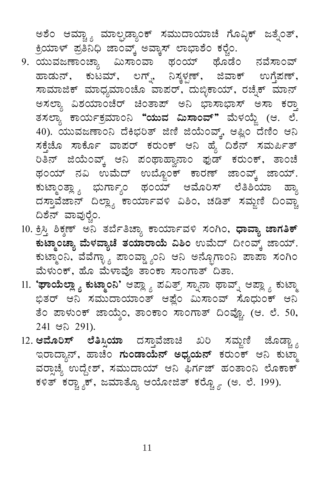ಅಶೆಂ ಆಮ್ಚ್ಯಾ ಮಾಲ್ಫಡ್ಯಾಂಕ್ ಸಮುದಾಯಾಚೆ ಗೊವ್ಳಿಕ್ ಜತ್ನೆಂತ್, ಕ್ರಿಯಾಳ್ ಪ್ರತಿನಿಧಿ ಜಾಂವ್ಕ್ ಅವ್ಕಾಸ್ ಲಾಭಾಶೆಂ ಕರ್ರೈ.

- 9. ಯುವಜಣಾಂಚ್ಯಾ ಮಿಸಾಂವಾ ಥಂಯ್ ಥೊಡೆಂ ನವೆಸಾಂವ್ ಹಾಡುನ್, ಕುಟಮ್, ಲಗ್ನ್, ನಿಸ್ಕಳ್ಟಣ್, ಜಿವಾಕ್ ಉಗ್ತೆಪಣ್, ಸಾಮಾಜಿಕ್ ಮಾಧ್ಯಮಾಂಚೊ ವಾಪರ್, ದುಬ್ಳಿಕಾಯ್, ರಚ್ನೆಕ್ ಮಾನ್ ಅಸಲ್ಯಾ ವಿಶಯಾಂಚೆರ್ ಚಿಂತಾಪ್ ಅನಿ ಭಾಸಾಭಾಸ್ ಅಸಾ ಕರ್ರಾ ತಸಲ್ಯಾ ಕಾರ್ಯಕ್ರಮಾಂನಿ **"ಯುವ ಮಿಸಾಂವ್"** ಮೆಳಯ್ಜೆ (ಆ. ಲೆ. 40). ಯುವಜಣಾಂನಿ ದೆಕಿಭರಿತ್ ಜಿಣಿ ಜಿಯೆಂವ್ಕ್, ಆಪ್ಲಿಂ ದೆಣಿಂ ಆನಿ ಸಕ್ತೆಜೊ ಸಾರ್ಕೊ ವಾಪರ್ ಕರುಂಕ್ ಆನಿ ಹೈ ದಿಶೆನ್ ಸಮರ್ಪಿತ್ ರಿತಿನ್ ಜಿಯೆಂವ್ಕ್ ಆನಿ ಪಂಥಾಹ್ವಾನಾಂ ಫುಡ್ ಕರುಂಕ್, ತಾಂಚೆ ಥಂಯ್ ನವಿ ಉಮೆದ್ ಉಬ್ಜೊಂಕ್ ಕಾರಣ್ ಜಾಂವ್ಕ್ ಜಾಯ್. ಕುಟ್ಮಾಂತ್ಲ್ಯಾ ಭುರ್ಗ್ಯಾಂ ಥಂಯ್ ಆಮೊರಿಸ್ ಲೆತಿಶಿಯಾ ಹ್ಯಾ ದಸ್ತಾವೆಜಾನ್ ದಿಲ್ಲ್ಯಾ ಕಾರ್ಯಾವಳಿ ವಿಶಿಂ, ಚಡಿತ್ ಸಮ್ಜಣಿ ದಿಂವ್ಚಾ ದಿಶೆನ್ ವಾವುರ್ರೆಂ.
- 10. ಕ್ರಿಸ್ತಿ ಶಿಕ್ಶಣ್ ಅನಿ ತರ್ಬೆತಿಚ್ಯಾ ಕಾರ್ಯಾವಳಿ ಸಂಗಿಂ, **ಧಾವ್ಯಾ ಜಾಗತಿಕ್** ಕುಟ್ಮಾಂಚ್ಯಾ ಮೆಳವ್ಯಾಚೆ ತಯಾರಾಯೆ ವಿಶಿಂ ಉಮೆದ್ ದೀಂವ್ಕ್ ಜಾಯ್. ಕುಟ್ಮಾಂನಿ, ವೆವೆಗ್ಳಾೖ ಪಾಂವ್ಡ್ಯಾಂನಿ ಆನಿ ಅನ್ಬೊಗಾಂನಿ ಪಾಪಾ ಸಂಗಿಂ ಮೆಳುಂಕ್, ಹೊ ಮೆಳಾವೊ ತಾಂಕಾ ಸಾಂಗಾತ್ ದಿತಾ.
- 11. **'ಘಾಯೆಲ್ಲಾ ೖ ಕುಟ್ಮಾಂನಿ'** ಆಪ್ಲ್ಯಾ ಪವಿತ್ರ್ ಸ್ನಾನಾ ಥಾವ್ನ್ ಆಪ್ಲ್ಯಾ ಕುಟ್ಮಾ ಭಿತರ್ ಆನಿ ಸಮುದಾಯಾಂತ್ ಆಫ್ಲೆಂ ಮಿಸಾಂವ್ ಸೊಧುಂಕ್ ಆನಿ ತೆಂ ಪಾಳುಂಕ್ ಜಾಯ್ಶೆಂ, ತಾಂಕಾಂ ಸಾಂಗಾತ್ ದಿಂವ್ಚೊ. (ಆ. ಲೆ. 50, 241 පබ 291).
- 12. **ಆಮೊರಿಸ್ ಲೆತಿಸ್ಸಿಯಾ** ದಸ್ತಾವೆಜಾಚಿ ಖರಿ ಸಮ್ಜಣಿ ಜೊಡ್ಚ್ಯಾ ಇರಾದ್ಯಾನ್, ಹಾಚೆಂ **ಗುಂಡಾಯೆನ್ ಅಧ್ಯಯನ್** ಕರುಂಕ್ ಆನಿ ಕುಟ್ಮಾ ವರ್ರಾಚ್ಯೆ ಉದ್ದೇಶ್, ಸಮುದಾಯ್ ಆನಿ ಫಿರ್ಗಜ್ ಹಂತಾಂನಿ ಲೊಕಾಕ್ ಕಳಿತ್ ಕರ್ರ್ಚ್ಚಾಕ್, ಜಮಾತ್ಯೊ ಆಯೋಜಿತ್ ಕರ್ರ್ಚ್ಚೊ (ಅ. ಲೆ. 199).